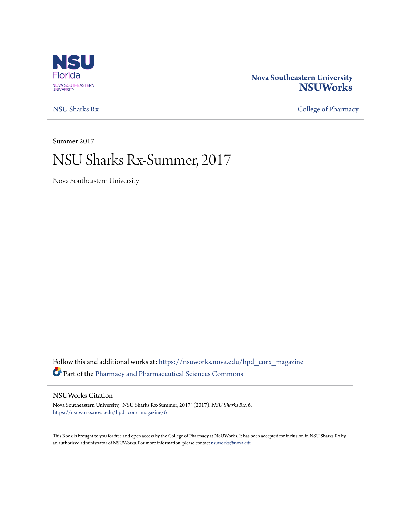

#### **Nova Southeastern University [NSUWorks](https://nsuworks.nova.edu?utm_source=nsuworks.nova.edu%2Fhpd_corx_magazine%2F6&utm_medium=PDF&utm_campaign=PDFCoverPages)**

[NSU Sharks Rx](https://nsuworks.nova.edu/hpd_corx_magazine?utm_source=nsuworks.nova.edu%2Fhpd_corx_magazine%2F6&utm_medium=PDF&utm_campaign=PDFCoverPages) [College of Pharmacy](https://nsuworks.nova.edu/hpd_corx?utm_source=nsuworks.nova.edu%2Fhpd_corx_magazine%2F6&utm_medium=PDF&utm_campaign=PDFCoverPages)

Summer 2017

# NSU Sharks Rx-Summer, 2017

Nova Southeastern University

Follow this and additional works at: [https://nsuworks.nova.edu/hpd\\_corx\\_magazine](https://nsuworks.nova.edu/hpd_corx_magazine?utm_source=nsuworks.nova.edu%2Fhpd_corx_magazine%2F6&utm_medium=PDF&utm_campaign=PDFCoverPages) Part of the [Pharmacy and Pharmaceutical Sciences Commons](http://network.bepress.com/hgg/discipline/731?utm_source=nsuworks.nova.edu%2Fhpd_corx_magazine%2F6&utm_medium=PDF&utm_campaign=PDFCoverPages)

#### NSUWorks Citation

Nova Southeastern University, "NSU Sharks Rx-Summer, 2017" (2017). *NSU Sharks Rx*. 6. [https://nsuworks.nova.edu/hpd\\_corx\\_magazine/6](https://nsuworks.nova.edu/hpd_corx_magazine/6?utm_source=nsuworks.nova.edu%2Fhpd_corx_magazine%2F6&utm_medium=PDF&utm_campaign=PDFCoverPages)

This Book is brought to you for free and open access by the College of Pharmacy at NSUWorks. It has been accepted for inclusion in NSU Sharks Rx by an authorized administrator of NSUWorks. For more information, please contact [nsuworks@nova.edu.](mailto:nsuworks@nova.edu)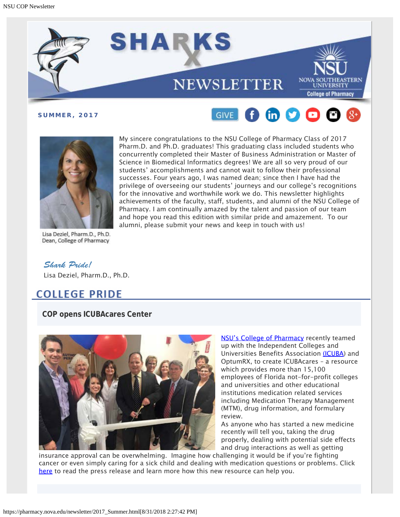





Lisa Deziel, Pharm.D., Ph.D.

My sincere congratulations to the NSU College of Pharmacy Class of 2017 Pharm.D. and Ph.D. graduates! This graduating class included students who concurrently completed their Master of Business Administration or Master of Science in Biomedical Informatics degrees! We are all so very proud of our students' accomplishments and cannot wait to follow their professional successes. Four years ago, I was named dean; since then I have had the privilege of overseeing our students' journeys and our college's recognitions for the innovative and worthwhile work we do. This newsletter highlights achievements of the faculty, staff, students, and alumni of the NSU College of Pharmacy. I am continually amazed by the talent and passion of our team and hope you read this edition with similar pride and amazement. To our alumni, please submit your news and keep in touch with us!

Dean, College of Pharmacy

*Shark Pride!* Lisa Deziel, Pharm.D., Ph.D.

# **COLLEGE PRIDE**

**COP opens ICUBAcares Center**



[NSU's College of Pharmacy](http://pharmacy.nova.edu/index.html) recently teamed up with the Independent Colleges and Universities Benefits Association [\(ICUBA](https://www.icuba.org/)) and OptumRX, to create ICUBAcares – a resource which provides more than 15,100 employees of Florida not-for-profit colleges and universities and other educational institutions medication related services including Medication Therapy Management (MTM), drug information, and formulary review.

As anyone who has started a new medicine recently will tell you, taking the drug properly, dealing with potential side effects and drug interactions as well as getting

insurance approval can be overwhelming. Imagine how challenging it would be if you're fighting cancer or even simply caring for a sick child and dealing with medication questions or problems. Click [here](http://bit.ly/2pBgX4t) to read the press release and learn more how this new resource can help you.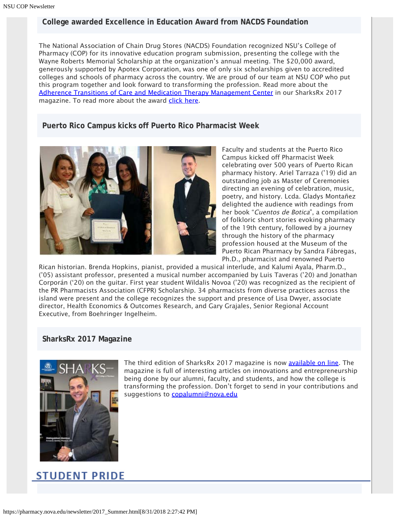#### **College awarded Excellence in Education Award from NACDS Foundation**

The National Association of Chain Drug Stores (NACDS) Foundation recognized NSU's College of Pharmacy (COP) for its innovative education program submission, presenting the college with the Wayne Roberts Memorial Scholarship at the organization's annual meeting. The \$20,000 award, generously supported by Apotex Corporation, was one of only six scholarships given to accredited colleges and schools of pharmacy across the country. We are proud of our team at NSU COP who put this program together and look forward to transforming the profession. Read more about the [Adherence Transitions of Care and Medication Therapy Management Center](https://www.nova.edu/publications/pharmacy/sharks-rx-spring2017/#12-13) in our SharksRx 2017 magazine. To read more about the award [click here](https://nsunews.nova.edu/nsus-college-of-pharmacy-receives-excellence-in-education-award-from-nacds-foundation/).

#### **Puerto Rico Campus kicks off Puerto Rico Pharmacist Week**



Faculty and students at the Puerto Rico Campus kicked off Pharmacist Week celebrating over 500 years of Puerto Rican pharmacy history. Ariel Tarraza ('19) did an outstanding job as Master of Ceremonies directing an evening of celebration, music, poetry, and history. Lcda. Gladys Montañez delighted the audience with readings from her book "Cuentos de Botica", a compilation of folkloric short stories evoking pharmacy of the 19th century, followed by a journey through the history of the pharmacy profession housed at the Museum of the Puerto Rican Pharmacy by Sandra Fábregas, Ph.D., pharmacist and renowned Puerto

Rican historian. Brenda Hopkins, pianist, provided a musical interlude, and Kalumi Ayala, Pharm.D., ('05) assistant professor, presented a musical number accompanied by Luis Taveras ('20) and Jonathan Corporán ('20) on the guitar. First year student Wildalis Novoa ('20) was recognized as the recipient of the PR Pharmacists Association (CFPR) Scholarship. 34 pharmacists from diverse practices across the island were present and the college recognizes the support and presence of Lisa Dwyer, associate director, Health Economics & Outcomes Research, and Gary Grajales, Senior Regional Account Executive, from Boehringer Ingelheim.

#### **SharksRx 2017 Magazine**



The third edition of SharksRx 2017 magazine is now [available on line](http://pharmacy.nova.edu/magazine/index.html). The magazine is full of interesting articles on innovations and entrepreneurship being done by our alumni, faculty, and students, and how the college is transforming the profession. Don't forget to send in your contributions and suggestions to **[copalumni@nova.edu](mailto:copalumni@nova.edu)** 

# **STUDENT PRIDE**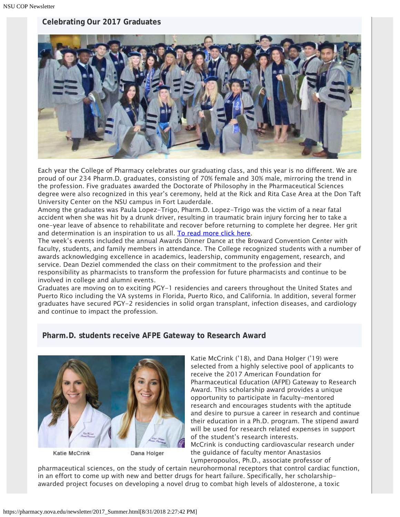#### **Celebrating Our 2017 Graduates**



Each year the College of Pharmacy celebrates our graduating class, and this year is no different. We are proud of our 234 Pharm.D. graduates, consisting of 70% female and 30% male, mirroring the trend in the profession. Five graduates awarded the Doctorate of Philosophy in the Pharmaceutical Sciences degree were also recognized in this year's ceremony, held at the Rick and Rita Case Area at the Don Taft University Center on the NSU campus in Fort Lauderdale.

Among the graduates was Paula Lopez-Trigo, Pharm.D. Lopez-Trigo was the victim of a near fatal accident when she was hit by a drunk driver, resulting in traumatic brain injury forcing her to take a one-year leave of absence to rehabilitate and recover before returning to complete her degree. Her grit and determination is an inspiration to us all. [To read more click here](http://www.mypalmbeachpost.com/news/local/woman-graduates-college-years-after-awful-wreck-caused-drunk-driver/6MwdOXNHxhxIJKycNvQQkJ/).

The week's events included the annual Awards Dinner Dance at the Broward Convention Center with faculty, students, and family members in attendance. The College recognized students with a number of awards acknowledging excellence in academics, leadership, community engagement, research, and service. Dean Deziel commended the class on their commitment to the profession and their responsibility as pharmacists to transform the profession for future pharmacists and continue to be involved in college and alumni events.

Graduates are moving on to exciting PGY-1 residencies and careers throughout the United States and Puerto Rico including the VA systems in Florida, Puerto Rico, and California. In addition, several former graduates have secured PGY-2 residencies in solid organ transplant, infection diseases, and cardiology and continue to impact the profession.

#### **Pharm.D. students receive AFPE Gateway to Research Award**



Katie McCrink

Dana Holger

Katie McCrink ('18), and Dana Holger ('19) were selected from a highly selective pool of applicants to receive the 2017 American Foundation for Pharmaceutical Education (AFPE) Gateway to Research Award. This scholarship award provides a unique opportunity to participate in faculty-mentored research and encourages students with the aptitude and desire to pursue a career in research and continue their education in a Ph.D. program. The stipend award will be used for research related expenses in support of the student's research interests.

McCrink is conducting cardiovascular research under the guidance of faculty mentor Anastasios Lymperopoulos, Ph.D., associate professor of

pharmaceutical sciences, on the study of certain neurohormonal receptors that control cardiac function, in an effort to come up with new and better drugs for heart failure. Specifically, her scholarshipawarded project focuses on developing a novel drug to combat high levels of aldosterone, a toxic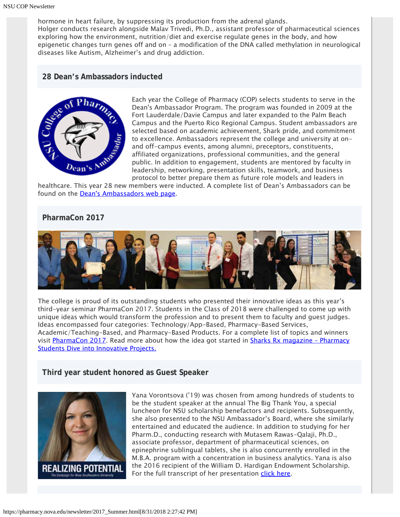hormone in heart failure, by suppressing its production from the adrenal glands. Holger conducts research alongside Malav Trivedi, Ph.D., assistant professor of pharmaceutical sciences exploring how the environment, nutrition/diet and exercise regulate genes in the body, and how epigenetic changes turn genes off and on – a modification of the DNA called methylation in neurological diseases like Autism, Alzheimer's and drug addiction.

#### **28 Dean's Ambassadors inducted**



Each year the College of Pharmacy (COP) selects students to serve in the Dean's Ambassador Program. The program was founded in 2009 at the Fort Lauderdale/Davie Campus and later expanded to the Palm Beach Campus and the Puerto Rico Regional Campus. Student ambassadors are selected based on academic achievement, Shark pride, and commitment to excellence. Ambassadors represent the college and university at onand off-campus events, among alumni, preceptors, constituents, affiliated organizations, professional communities, and the general public. In addition to engagement, students are mentored by faculty in leadership, networking, presentation skills, teamwork, and business protocol to better prepare them as future role models and leaders in

healthcare. This year 28 new members were inducted. A complete list of Dean's Ambassadors can be found on the **Dean's Ambassadors web page**.

#### **PharmaCon 2017**



The college is proud of its outstanding students who presented their innovative ideas as this year's third-year seminar PharmaCon 2017. Students in the Class of 2018 were challenged to come up with unique ideas which would transform the profession and to present them to faculty and guest judges. Ideas encompassed four categories: Technology/App-Based, Pharmacy-Based Services, Academic/Teaching-Based, and Pharmacy-Based Products. For a complete list of topics and winners visit [PharmaCon 2017](http://pharmacy.nova.edu/pharmacon/pharmacon-2017.html). Read more about how the idea got started in **Sharks Rx magazine - Pharmacy** [Students Dive into Innovative Projects.](https://www.nova.edu/publications/pharmacy/sharks-rx-spring2017/#12-13)

**Third year student honored as Guest Speaker**



Yana Vorontsova ('19) was chosen from among hundreds of students to be the student speaker at the annual The Big Thank You, a special luncheon for NSU scholarship benefactors and recipients. Subsequently, she also presented to the NSU Ambassador's Board, where she similarly entertained and educated the audience. In addition to studying for her Pharm.D., conducting research with Mutasem Rawas-Qalaji, Ph.D., associate professor, department of pharmaceutical sciences, on epinephrine sublingual tablets, she is also concurrently enrolled in the M.B.A. program with a concentration in business analytics. Yana is also the 2016 recipient of the William D. Hardigan Endowment Scholarship. For the full transcript of her presentation *click here*.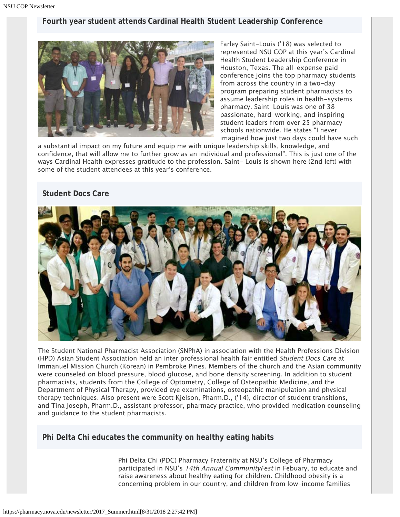#### **Fourth year student attends Cardinal Health Student Leadership Conference**



Farley Saint-Louis ('18) was selected to represented NSU COP at this year's Cardinal Health Student Leadership Conference in Houston, Texas. The all-expense paid conference joins the top pharmacy students from across the country in a two-day program preparing student pharmacists to assume leadership roles in health-systems pharmacy. Saint-Louis was one of 38 passionate, hard-working, and inspiring student leaders from over 25 pharmacy schools nationwide. He states "I never imagined how just two days could have such

a substantial impact on my future and equip me with unique leadership skills, knowledge, and confidence, that will allow me to further grow as an individual and professional". This is just one of the ways Cardinal Health expresses gratitude to the profession. Saint- Louis is shown here (2nd left) with some of the student attendees at this year's conference.

#### **Student Docs Care**



The Student National Pharmacist Association (SNPhA) in association with the Health Professions Division (HPD) Asian Student Association held an inter professional health fair entitled Student Docs Care at Immanuel Mission Church (Korean) in Pembroke Pines. Members of the church and the Asian community were counseled on blood pressure, blood glucose, and bone density screening. In addition to student pharmacists, students from the College of Optometry, College of Osteopathic Medicine, and the Department of Physical Therapy, provided eye examinations, osteopathic manipulation and physical therapy techniques. Also present were Scott Kjelson, Pharm.D., ('14), director of student transitions, and Tina Joseph, Pharm.D., assistant professor, pharmacy practice, who provided medication counseling and guidance to the student pharmacists.

#### **Phi Delta Chi educates the community on healthy eating habits**

Phi Delta Chi (PDC) Pharmacy Fraternity at NSU's College of Pharmacy participated in NSU's 14th Annual CommunityFest in Febuary, to educate and raise awareness about healthy eating for children. Childhood obesity is a concerning problem in our country, and children from low-income families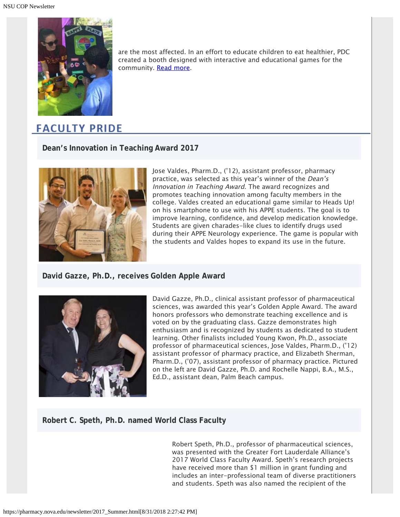

are the most affected. In an effort to educate children to eat healthier, PDC created a booth designed with interactive and educational games for the community. [Read more](https://nsunews.nova.edu/phi-delta-chi-educates-on-healthy-eating-habits-2/).

# **FACULTY PRIDE**

**Dean's Innovation in Teaching Award 2017**



Jose Valdes, Pharm.D., ('12), assistant professor, pharmacy practice, was selected as this year's winner of the Dean's Innovation in Teaching Award. The award recognizes and promotes teaching innovation among faculty members in the college. Valdes created an educational game similar to Heads Up! on his smartphone to use with his APPE students. The goal is to improve learning, confidence, and develop medication knowledge. Students are given charades-like clues to identify drugs used during their APPE Neurology experience. The game is popular with the students and Valdes hopes to expand its use in the future.

#### **David Gazze, Ph.D., receives Golden Apple Award**



David Gazze, Ph.D., clinical assistant professor of pharmaceutical sciences, was awarded this year's Golden Apple Award. The award honors professors who demonstrate teaching excellence and is voted on by the graduating class. Gazze demonstrates high enthusiasm and is recognized by students as dedicated to student learning. Other finalists included Young Kwon, Ph.D., associate professor of pharmaceutical sciences, Jose Valdes, Pharm.D., ('12) assistant professor of pharmacy practice, and Elizabeth Sherman, Pharm.D., ('07), assistant professor of pharmacy practice. Pictured on the left are David Gazze, Ph.D. and Rochelle Nappi, B.A., M.S., Ed.D., assistant dean, Palm Beach campus.

#### **Robert C. Speth, Ph.D. named World Class Faculty**

Robert Speth, Ph.D., professor of pharmaceutical sciences, was presented with the Greater Fort Lauderdale Alliance's 2017 World Class Faculty Award. Speth's research projects have received more than \$1 million in grant funding and includes an inter-professional team of diverse practitioners and students. Speth was also named the recipient of the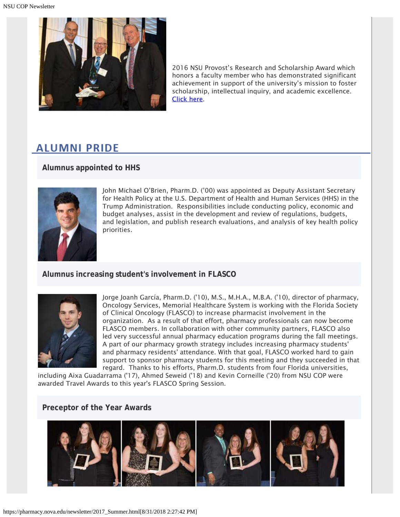

2016 NSU Provost's Research and Scholarship Award which honors a faculty member who has demonstrated significant achievement in support of the university's mission to foster scholarship, intellectual inquiry, and academic excellence. [Click here.](https://nsunews.nova.edu/nsu-professor-named-world-class-faculty-at-greater-fort-lauderdale-alliance-mid-year-luncheon/)

# **ALUMNI PRIDE**

#### **Alumnus appointed to HHS**



John Michael O'Brien, Pharm.D. ('00) was appointed as Deputy Assistant Secretary for Health Policy at the U.S. Department of Health and Human Services (HHS) in the Trump Administration. Responsibilities include conducting policy, economic and budget analyses, assist in the development and review of regulations, budgets, and legislation, and publish research evaluations, and analysis of key health policy priorities.

#### **Alumnus increasing student's involvement in FLASCO**



Jorge Joanh García, Pharm.D. ('10), M.S., M.H.A., M.B.A. ('10), director of pharmacy, Oncology Services, Memorial Healthcare System is working with the Florida Society of Clinical Oncology (FLASCO) to increase pharmacist involvement in the organization. As a result of that effort, pharmacy professionals can now become FLASCO members. In collaboration with other community partners, FLASCO also led very successful annual pharmacy education programs during the fall meetings. A part of our pharmacy growth strategy includes increasing pharmacy students' and pharmacy residents' attendance. With that goal, FLASCO worked hard to gain support to sponsor pharmacy students for this meeting and they succeeded in that regard. Thanks to his efforts, Pharm.D. students from four Florida universities,

including Aixa Guadarrama ('17), Ahmed Seweid ('18) and Kevin Corneille ('20) from NSU COP were awarded Travel Awards to this year's FLASCO Spring Session.

#### **Preceptor of the Year Awards**

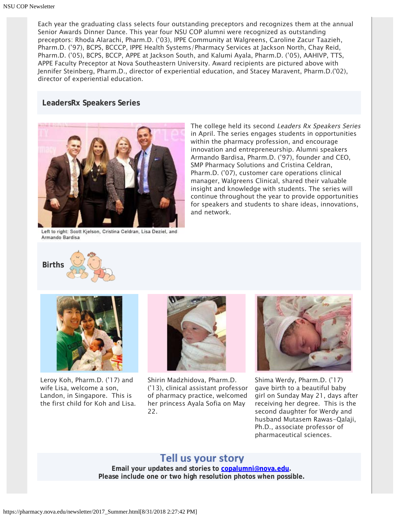Each year the graduating class selects four outstanding preceptors and recognizes them at the annual Senior Awards Dinner Dance. This year four NSU COP alumni were recognized as outstanding preceptors: Rhoda Alarachi, Pharm.D. ('03), IPPE Community at Walgreens, Caroline Zacur Taazieh, Pharm.D. ('97), BCPS, BCCCP, IPPE Health Systems/Pharmacy Services at Jackson North, Chay Reid, Pharm.D. ('05), BCPS, BCCP, APPE at Jackson South, and Kalumi Ayala, Pharm.D. ('05), AAHIVP, TTS, APPE Faculty Preceptor at Nova Southeastern University. Award recipients are pictured above with Jennifer Steinberg, Pharm.D., director of experiential education, and Stacey Maravent, Pharm.D.('02), director of experiential education.

#### **LeadersRx Speakers Series**



Left to right: Scott Kjelson, Cristina Celdran, Lisa Deziel, and Armando Bardisa

**Births** 



Leroy Koh, Pharm.D. ('17) and wife Lisa, welcome a son, Landon, in Singapore. This is the first child for Koh and Lisa.



and network.

Shirin Madzhidova, Pharm.D. ('13), clinical assistant professor of pharmacy practice, welcomed her princess Ayala Sofia on May 22.



The college held its second Leaders Rx Speakers Series in April. The series engages students in opportunities within the pharmacy profession, and encourage innovation and entrepreneurship. Alumni speakers Armando Bardisa, Pharm.D. ('97), founder and CEO, SMP Pharmacy Solutions and Cristina Celdran, Pharm.D. ('07), customer care operations clinical manager, Walgreens Clinical, shared their valuable insight and knowledge with students. The series will continue throughout the year to provide opportunities for speakers and students to share ideas, innovations,

Shima Werdy, Pharm.D. ('17) gave birth to a beautiful baby girl on Sunday May 21, days after receiving her degree. This is the second daughter for Werdy and husband Mutasem Rawas-Qalaji, Ph.D., associate professor of pharmaceutical sciences.

#### Tell us your story

**Email your updates and stories to [copalumni@nova.edu.](mailto:copalumni@nova.edu) Please include one or two high resolution photos when possible.**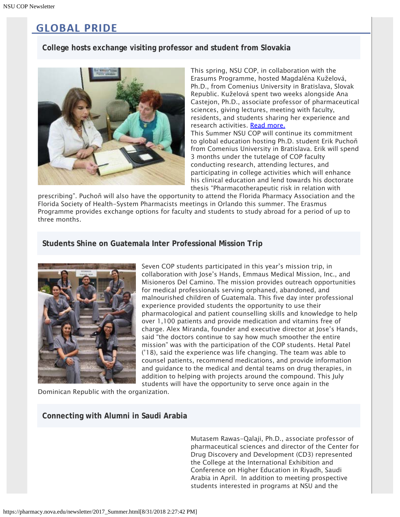# **GLOBAL PRIDE**

#### **College hosts exchange visiting professor and student from Slovakia**



This spring, NSU COP, in collaboration with the Erasums Programme, hosted Magdaléna Kuželová, Ph.D., from Comenius University in Bratislava, Slovak Republic. Kuželová spent two weeks alongside Ana Castejon, Ph.D., associate professor of pharmaceutical sciences, giving lectures, meeting with faculty, residents, and students sharing her experience and research activities. [Read more.](https://nsunews.nova.edu/nsu-college-of-pharmacy-hosts-visiting-professor-from-slovakia/)

This Summer NSU COP will continue its commitment to global education hosting Ph.D. student Erik Puchoň from Comenius University in Bratislava. Erik will spend 3 months under the tutelage of COP faculty conducting research, attending lectures, and participating in college activities which will enhance his clinical education and lend towards his doctorate thesis "Pharmacotherapeutic risk in relation with

prescribing". Puchoň will also have the opportunity to attend the Florida Pharmacy Association and the Florida Society of Health-System Pharmacists meetings in Orlando this summer. The Erasmus Programme provides exchange options for faculty and students to study abroad for a period of up to three months.

#### **Students Shine on Guatemala Inter Professional Mission Trip**



Seven COP students participated in this year's mission trip, in collaboration with Jose's Hands, Emmaus Medical Mission, Inc., and Misioneros Del Camino. The mission provides outreach opportunities for medical professionals serving orphaned, abandoned, and malnourished children of Guatemala. This five day inter professional experience provided students the opportunity to use their pharmacological and patient counselling skills and knowledge to help over 1,100 patients and provide medication and vitamins free of charge. Alex Miranda, founder and executive director at Jose's Hands, said "the doctors continue to say how much smoother the entire mission" was with the participation of the COP students. Hetal Patel ('18), said the experience was life changing. The team was able to counsel patients, recommend medications, and provide information and guidance to the medical and dental teams on drug therapies, in addition to helping with projects around the compound. This July students will have the opportunity to serve once again in the

Dominican Republic with the organization.

#### **Connecting with Alumni in Saudi Arabia**

Mutasem Rawas-Qalaji, Ph.D., associate professor of pharmaceutical sciences and director of the Center for Drug Discovery and Development (CD3) represented the College at the International Exhibition and Conference on Higher Education in Riyadh, Saudi Arabia in April. In addition to meeting prospective students interested in programs at NSU and the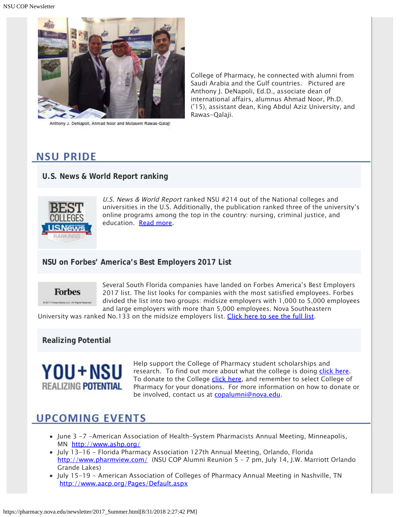

Anthony J. DeNapoli, Ahmad Noor and Mutasem Rawas-Qalaji

College of Pharmacy, he connected with alumni from Saudi Arabia and the Gulf countries. Pictured are Anthony J. DeNapoli, Ed.D., associate dean of international affairs, alumnus Ahmad Noor, Ph.D. ('15), assistant dean, King Abdul Aziz University, and Rawas-Qalaji.

### **NSU PRIDE**

**U.S. News & World Report ranking**



U.S. News & World Report ranked NSU #214 out of the National colleges and universities in the U.S. Additionally, the publication ranked three of the university's online programs among the top in the country: nursing, criminal justice, and education. [Read more](https://nsunews.nova.edu/u-s-news-world-report-ranks-three-nsu-programs-among-the-nations-best/).

#### **NSU on Forbes' America's Best Employers 2017 List**



Several South Florida companies have landed on Forbes America's Best Employers 2017 list. The list looks for companies with the most satisfied employees. Forbes divided the list into two groups: midsize employers with 1,000 to 5,000 employees and large employers with more than 5,000 employees. Nova Southeastern

University was ranked No.133 on the midsize employers list. [Click here to see the full list](http://www.bizjournals.com/southflorida/news/2017/05/11/royal-caribbean-ryder-and-9-other-s-fla-companies.html).

**Realizing Potential**



Help support the College of Pharmacy student scholarships and research. To find out more about what the college is doing [click here](https://www.nova.edu/publications/realizingpotential/pharmacy/). To donate to the College [click here](https://realizingpotential.nova.edu/give/index.html?area=Research&designation=AutoNation%20Institute%20for%20Breast%20and%20Solid%20Tumor%20Research), and remember to select College of Pharmacy for your donations. For more information on how to donate or be involved, contact us at [copalumni@nova.edu](mailto:copalumni@nova.edu).

# **UPCOMING EVENTS**

- June 3 -7 -American Association of Health-System Pharmacists Annual Meeting, Minneapolis, MN <http://www.ashp.org/>
- July 13-16 Florida Pharmacy Association 127th Annual Meeting, Orlando, Florida <http://www.pharmview.com/> (NSU COP Alumni Reunion 5 - 7 pm, July 14, J.W. Marriott Orlando Grande Lakes)
- July 15-19 American Association of Colleges of Pharmacy Annual Meeting in Nashville, TN <http://www.aacp.org/Pages/Default.aspx>